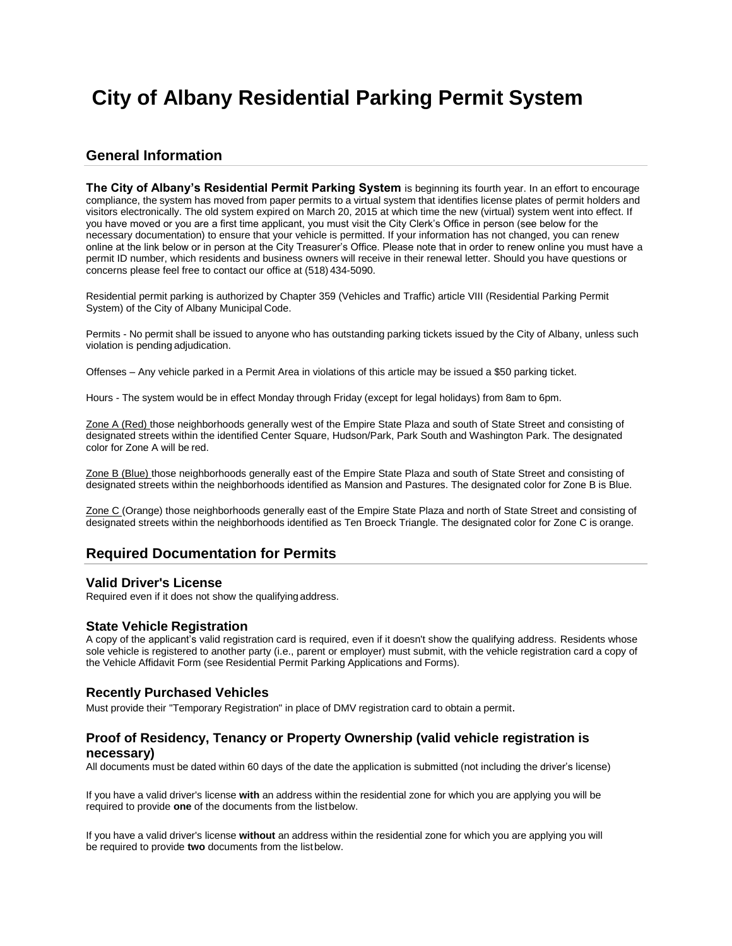# **City of Albany Residential Parking Permit System**

# **General Information**

**The City of Albany's Residential Permit Parking System** is beginning its fourth year. In an effort to encourage compliance, the system has moved from paper permits to a virtual system that identifies license plates of permit holders and visitors electronically. The old system expired on March 20, 2015 at which time the new (virtual) system went into effect. If you have moved or you are a first time applicant, you must visit the City Clerk's Office in person (see below for the necessary documentation) to ensure that your vehicle is permitted. If your information has not changed, you can renew online at the link below or in person at the City Treasurer's Office. Please note that in order to renew online you must have a permit ID number, which residents and business owners will receive in their renewal letter. Should you have questions or concerns please feel free to contact our office at (518) 434-5090.

Residential permit parking is authorized by Chapter 359 (Vehicles and Traffic) article VIII (Residential Parking Permit System) of the City of Albany Municipal Code.

Permits - No permit shall be issued to anyone who has outstanding parking tickets issued by the City of Albany, unless such violation is pending adjudication.

Offenses – Any vehicle parked in a Permit Area in violations of this article may be issued a \$50 parking ticket.

Hours - The system would be in effect Monday through Friday (except for legal holidays) from 8am to 6pm.

Zone A (Red) those neighborhoods generally west of the Empire State Plaza and south of State Street and consisting of designated streets within the identified Center Square, Hudson/Park, Park South and Washington Park. The designated color for Zone A will be red.

Zone B (Blue) those neighborhoods generally east of the Empire State Plaza and south of State Street and consisting of designated streets within the neighborhoods identified as Mansion and Pastures. The designated color for Zone B is Blue.

Zone C (Orange) those neighborhoods generally east of the Empire State Plaza and north of State Street and consisting of designated streets within the neighborhoods identified as Ten Broeck Triangle. The designated color for Zone C is orange.

# **Required Documentation for Permits**

#### **Valid Driver's License**

Required even if it does not show the qualifyingaddress.

#### **State Vehicle Registration**

A copy of the applicant's valid registration card is required, even if it doesn't show the qualifying address. Residents whose sole vehicle is registered to another party (i.e., parent or employer) must submit, with the vehicle registration card a copy of the Vehicle Affidavit Form (see Residential Permit Parking Applications and Forms).

#### **Recently Purchased Vehicles**

Must provide their "Temporary Registration" in place of DMV registration card to obtain a permit.

### **Proof of Residency, Tenancy or Property Ownership (valid vehicle registration is necessary)**

All documents must be dated within 60 days of the date the application is submitted (not including the driver's license)

If you have a valid driver's license **with** an address within the residential zone for which you are applying you will be required to provide **one** of the documents from the listbelow.

If you have a valid driver's license **without** an address within the residential zone for which you are applying you will be required to provide **two** documents from the listbelow.